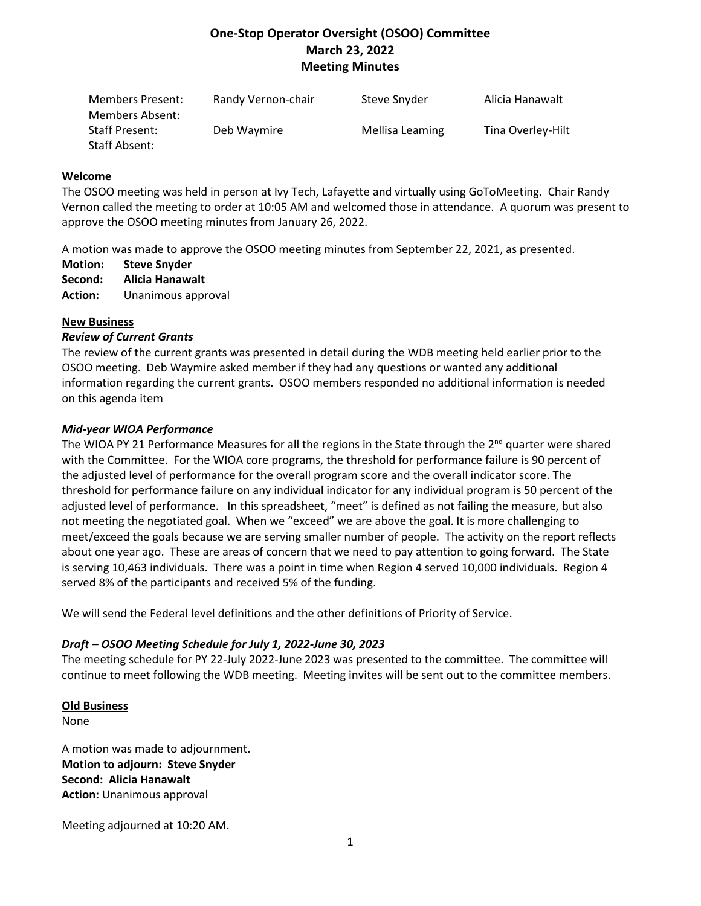# **One-Stop Operator Oversight (OSOO) Committee March 23, 2022 Meeting Minutes**

| Members Present:<br>Members Absent: | Randy Vernon-chair | Steve Snyder    | Alicia Hanawalt   |
|-------------------------------------|--------------------|-----------------|-------------------|
| Staff Present:                      | Deb Waymire        | Mellisa Leaming | Tina Overley-Hilt |
| Staff Absent:                       |                    |                 |                   |

### **Welcome**

The OSOO meeting was held in person at Ivy Tech, Lafayette and virtually using GoToMeeting. Chair Randy Vernon called the meeting to order at 10:05 AM and welcomed those in attendance. A quorum was present to approve the OSOO meeting minutes from January 26, 2022.

A motion was made to approve the OSOO meeting minutes from September 22, 2021, as presented.

- **Motion: Steve Snyder**
- **Second: Alicia Hanawalt**
- **Action:** Unanimous approval

## **New Business**

### *Review of Current Grants*

The review of the current grants was presented in detail during the WDB meeting held earlier prior to the OSOO meeting. Deb Waymire asked member if they had any questions or wanted any additional information regarding the current grants. OSOO members responded no additional information is needed on this agenda item

### *Mid-year WIOA Performance*

The WIOA PY 21 Performance Measures for all the regions in the State through the 2<sup>nd</sup> quarter were shared with the Committee. For the WIOA core programs, the threshold for performance failure is 90 percent of the adjusted level of performance for the overall program score and the overall indicator score. The threshold for performance failure on any individual indicator for any individual program is 50 percent of the adjusted level of performance. In this spreadsheet, "meet" is defined as not failing the measure, but also not meeting the negotiated goal. When we "exceed" we are above the goal. It is more challenging to meet/exceed the goals because we are serving smaller number of people. The activity on the report reflects about one year ago. These are areas of concern that we need to pay attention to going forward. The State is serving 10,463 individuals. There was a point in time when Region 4 served 10,000 individuals. Region 4 served 8% of the participants and received 5% of the funding.

We will send the Federal level definitions and the other definitions of Priority of Service.

## *Draft – OSOO Meeting Schedule for July 1, 2022-June 30, 2023*

The meeting schedule for PY 22-July 2022-June 2023 was presented to the committee. The committee will continue to meet following the WDB meeting. Meeting invites will be sent out to the committee members.

## **Old Business**

None

A motion was made to adjournment. **Motion to adjourn: Steve Snyder Second: Alicia Hanawalt Action:** Unanimous approval

Meeting adjourned at 10:20 AM.